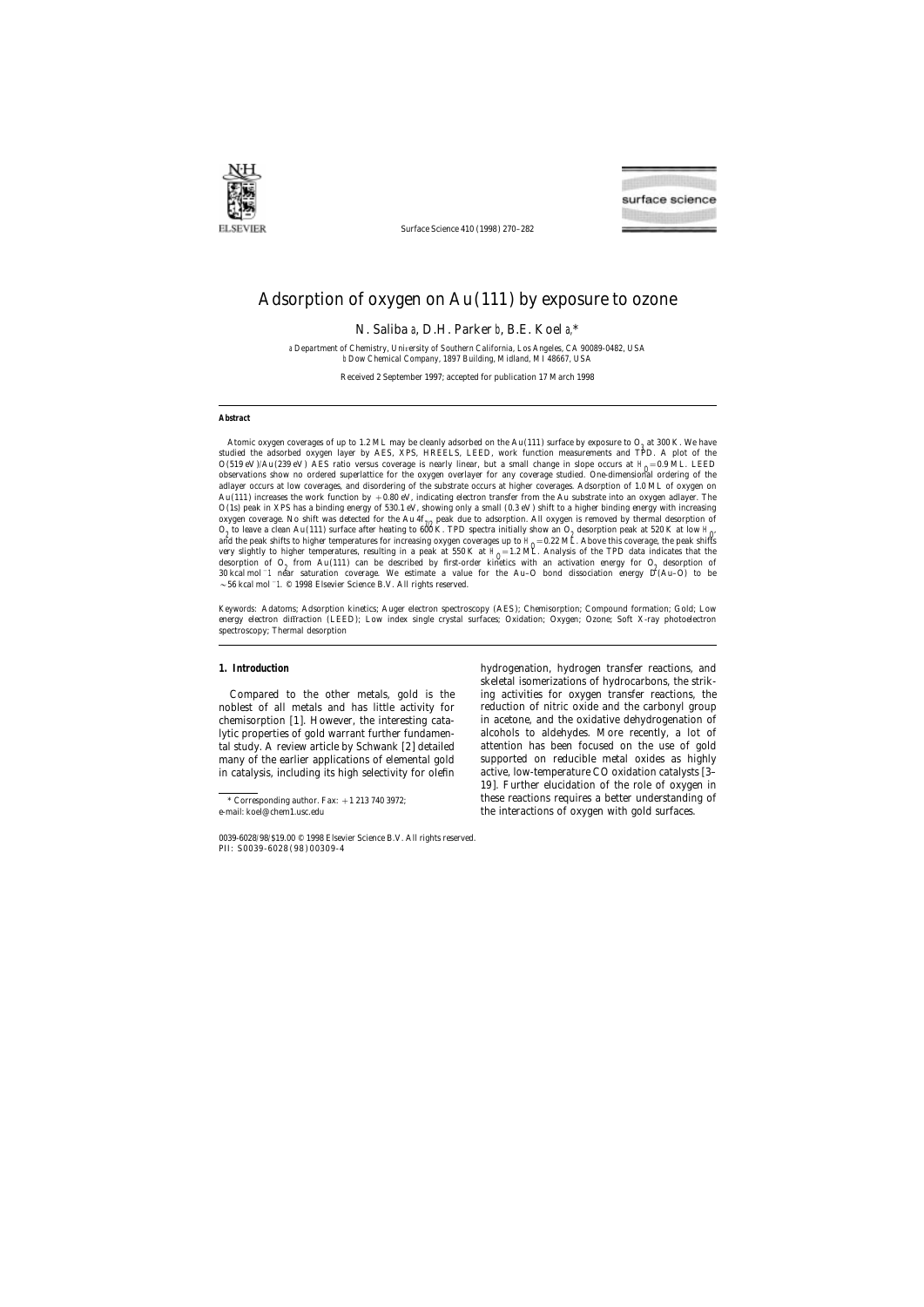

Surface Science 410 (1998) 270–282

# Adsorption of oxygen on Au(111) by exposure to ozone

N. Saliba a, D.H. Parker b, B.E. Koel a,\*

a *Department of Chemistry, Uni*v*ersity of Southern California, Los Angeles, CA 90089-0482, USA* b *Dow Chemical Company, 1897 Building, Midland, MI 48667, USA*

Received 2 September 1997; accepted for publication 17 March 1998

### **Abstract**

Atomic oxygen coverages of up to 1.2 ML may be cleanly adsorbed on the Au(111) surface by exposure to  $O<sub>9</sub>$  at 300 K. We have studied the adsorbed oxygen layer by AES, XPS, HREELS, LEED, work function measurements and TPD. A plot of the  $O(519 \text{ eV})/\text{Au}$  (239 eV) AES ratio versus coverage is nearly linear, but a small change in slope occurs at  $H_0 = 0.9 \text{ ML}$ . LEED observations show no ordered superlattice for the oxygen overlayer for any coverage studied. One-dimensional ordering of the adlayer occurs at low coverages, and disordering of the substrate occurs at higher coverages. Adsorption of 1.0 ML of oxygen on Au(111) increases the work function by  $+0.80$  eV, indicating electron transfer from the Au substrate into an oxygen adlayer. The O(1s) peak in XPS has a binding energy of 530.1 eV, showing only a small (0.3 eV ) shift to a higher binding energy with increasing oxygen coverage. No shift was detected for the Au  $4f_{7/2}$  peak due to adsorption. All oxygen is removed by thermal desorption of  $O_2$  to leave a clean Au(111) surface after heating to 600 K. TPD spectra initially show an  $O_2$  desorption peak at 520 K at low H<sub>O</sub>, and the contract of the peak at 520 K at low H<sub>O</sub> and the peak shifts to higher temperatures for increasing oxygen coverages up to  $H_0 = 0.22$  ML. Above this coverage, the peak shifts very slightly to higher temperatures, resulting in a peak at  $550 \text{ K}$  at  $H_0 = 1.2 \text{ M}$ . Analysis of the TPD data indicates that the desorption of  $O_2$  from Au(111) can be described by first-order kinetics with an activation energy for  $O_2$  desorption of 30 kcal mol−1 near saturation coverage. We estimate a value for the Au–O bond dissociation energy *D*(Au–O) to be ~56 kcal mol−1. © 1998 Elsevier Science B.V. All rights reserved.

*Keywords:* Adatoms; Adsorption kinetics; Auger electron spectroscopy (AES); Chemisorption; Compound formation; Gold; Low energy electron diffraction (LEED); Low index single crystal surfaces; Oxidation; Oxygen; Ozone; Soft X-ray photoelectron spectroscopy; Thermal desorption

noblest of all metals and has little activity for reduction of nitric oxide and the carbonyl group chemisorption [1]. However, the interesting cata- in acetone, and the oxidative dehydrogenation of lytic properties of gold warrant further fundamen- alcohols to aldehydes. More recently, a lot of tal study. A review article by Schwank [2] detailed attention has been focused on the use of gold many of the earlier applications of elemental gold supported on reducible metal oxides as highly in catalysis, including its high selectivity for olefin active, low-temperature CO oxidation catalysts [3–

**1. Introduction 1. Introduction hydrogenation**, hydrogen transfer reactions, and skeletal isomerizations of hydrocarbons, the strik-Compared to the other metals, gold is the ing activities for oxygen transfer reactions, the 19]. Further elucidation of the role of oxygen in \* Corresponding author. Fax: <sup>+</sup>1 213 740 3972; these reactions requires a better understanding of the interactions of oxygen with gold surfaces.

<sup>0039-6028</sup>/98/\$19.00 © 1998 Elsevier Science B.V. All rights reserved. PII: S0039-6028 ( 98 ) 00309-4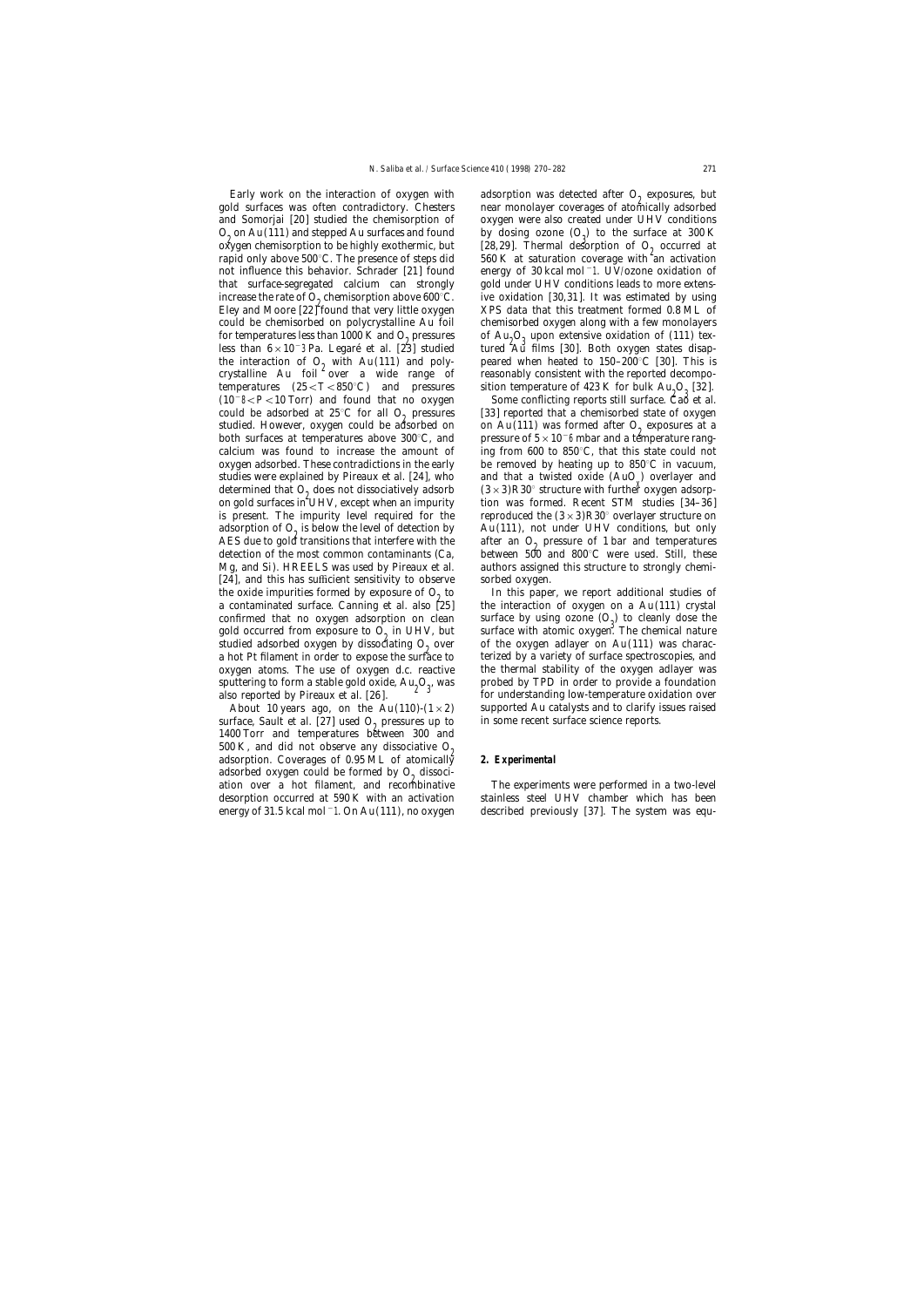Early work on the interaction of oxygen with adsorption was detected after  $O_2$  exposures, but gold surfaces was often contradictory. Chesters are monolayer coverages of atomically adsorbed and Somorjai [20] studied the chemisorption of oxygen were also created under UHV conditions  $O_2$  on Au(111) and stepped Au surfaces and found by dosing ozone  $(O_3)$  to the surface at 300 K oxygen chemisorption to be highly exothermic, but [28, 29]. Thermal desorption of  $O_2$  occurred at oxygen chemisorption to be highly exothermic, but [28,29]. Thermal desorption of  $O_2$  occurred at rapid only above 500°C. The presence of steps did 560 K at saturation coverage with an activation not influence this behavior. Schrader [21] found energy of 30 kcal mol−1. UV/ozone oxidation of that surface-segregated calcium can strongly gold under UHV conditions leads to more extensincrease the rate of  $O_2$  chemisorption above 600°C. ive oxidation [30,31]. It was estimated by using Eley and Moore [22] found that very little oxygen XPS data that this treatment formed 0.8 ML of could be chemisorbed on polycrystalline Au foil chemisorbed oxygen along with a few monolayers for temperatures less than 1000 K and  $O_9$  pressures less than  $6 \times 10^{-3}$  Pa. Legaré et al. [23] studied the interaction of O<sub>2</sub> with Au(111) and poly-<br>crystalline Au foil over a wide range of reasonably consistent with the reported decompotemperatures  $(25 < T < 850^{\circ}$ C) and pressures  $(10^{-8} < P < 10$  Torr) and found that no oxygen could be adsorbed at 25°C for all  $O_2$  pressures [33] reported that a chemisorbed state of oxygen studied. However, oxygen could be adsorbed on  $O_2$  pressures at a studied. However, oxygen could be adsorbed on on Au(111) was formed after  $O_2$  exposures at a both surfaces at temperatures above 300°C, and pressure of  $5 \times 10^{-6}$  mbar and a temperature rangcalcium was found to increase the amount of ing from 600 to 850°C, that this state could not oxygen adsorbed. These contradictions in the early be removed by heating up to  $850^{\circ}$ C in vacuum, studies were explained by Pireaux et al. [24], who and that a twisted oxide  $(AuO_x)$  overlayer and determined that  $O_0$  does not dissociatively adsorb  $(3 \times 3)R30^\circ$  structure with further oxygen adsorpdetermined that  $O_9$  does not dissociatively adsorb  $(3\times3)R30^\circ$  structure with further oxygen adsorpon gold surfaces in UHV, except when an impurity tion was formed. Recent STM studies [34–36] on gold surfaces in UHV, except when an impurity is present. The impurity level required for the reproduced the  $(3\times3)R30^{\circ}$  overlayer structure on adsorption of  $O_2$  is below the level of detection by  $Au(111)$ , not under UHV conditions, but only AES due to gold transitions that interfere with the after an  $O_0$  pressure of 1 bar and temperatures AES due to gold transitions that interfere with the after an  $O_2$  pressure of 1 bar and temperatures detection of the most common contaminants (Ca, between 500 and 800°C were used. Still, these Mg, and Si). HREELS was used by Pireaux et al. authors assigned this structure to strongly chemi-[24], and this has sufficient sensitivity to observe sorbed oxygen. the oxide impurities formed by exposure of  $O_2$  to In this paper, we report additional studies of a contaminated surface. Canning et al. also [25] the interaction of oxygen on a Au(111) crystal confirmed that no oxygen adsorption on clean surface by using ozone  $(O_3)$  to cleanly dose the gold occurred from exposure to  $O_2$  in UHV, but surface with atomic oxygen. The chemical nature gold occurred from exposure to  $O_2$  in UHV, but surface with atomic oxygen. The chemical nature studied adsorbed oxygen by dissociating  $O_2$  over of the oxygen adlayer on Au(111) was characstudied adsorbed oxygen by dissociating  $O_2$  over of the oxygen adlayer on Au(111) was charac-<br>a hot Pt filament in order to expose the surface to terized by a variety of surface spectroscopies, and a hot Pt filament in order to expose the surface to oxygen atoms. The use of oxygen d.c. reactive the thermal stability of the oxygen adlayer was sputtering to form a stable gold oxide,  $\text{Au}_2\text{O}_3$ , was equivalently probed by TPD in order to provide a foundation  $\text{g}$ also reported by Pireaux et al. [26]. For understanding low-temperature oxidation over

surface, Sault et al. [27] used  $O<sub>2</sub>$  pressures up to in some recent surface science reports. 1400 Torr and temperatures between 300 and 500 K, and did not observe any dissociative  $O_2$  adsorption. Coverages of 0.95 ML of atomically **2. Experimental** adsorbed oxygen could be formed by  $O<sub>0</sub>$  dissociation over a hot filament, and recombinative The experiments were performed in a two-level

near monolayer coverages of atomically adsorbed  $560~\mathrm{K}$  at saturation coverage with an activation KPS data that this treatment formed  $0.8$  ML of of  $Au_0O_2$  upon extensive oxidation of (111) textured <sup>'</sup>Au films [30]. Both oxygen states disapsition temperature of 423 K for bulk  $Au<sub>o</sub>O<sub>o</sub>$  [32].

Some conflicting reports still surface. Cao et al. pressure of  $5\times 10^-6$  mbar and a temperature rangand that a twisted oxide (AuO<sub>y</sub>) overlayer and between 500 and 800 $^{\circ}$ C were used. Still, these

the interaction of oxygen on a  $Au(111)$  crystal About 10 years ago, on the Au(110)-( $1\times 2$ ) supported Au catalysts and to clarify issues raised

desorption occurred at 590 K with an activation stainless steel UHV chamber which has been energy of 31.5 kcal mol−1. On Au(111), no oxygen described previously [37]. The system was equ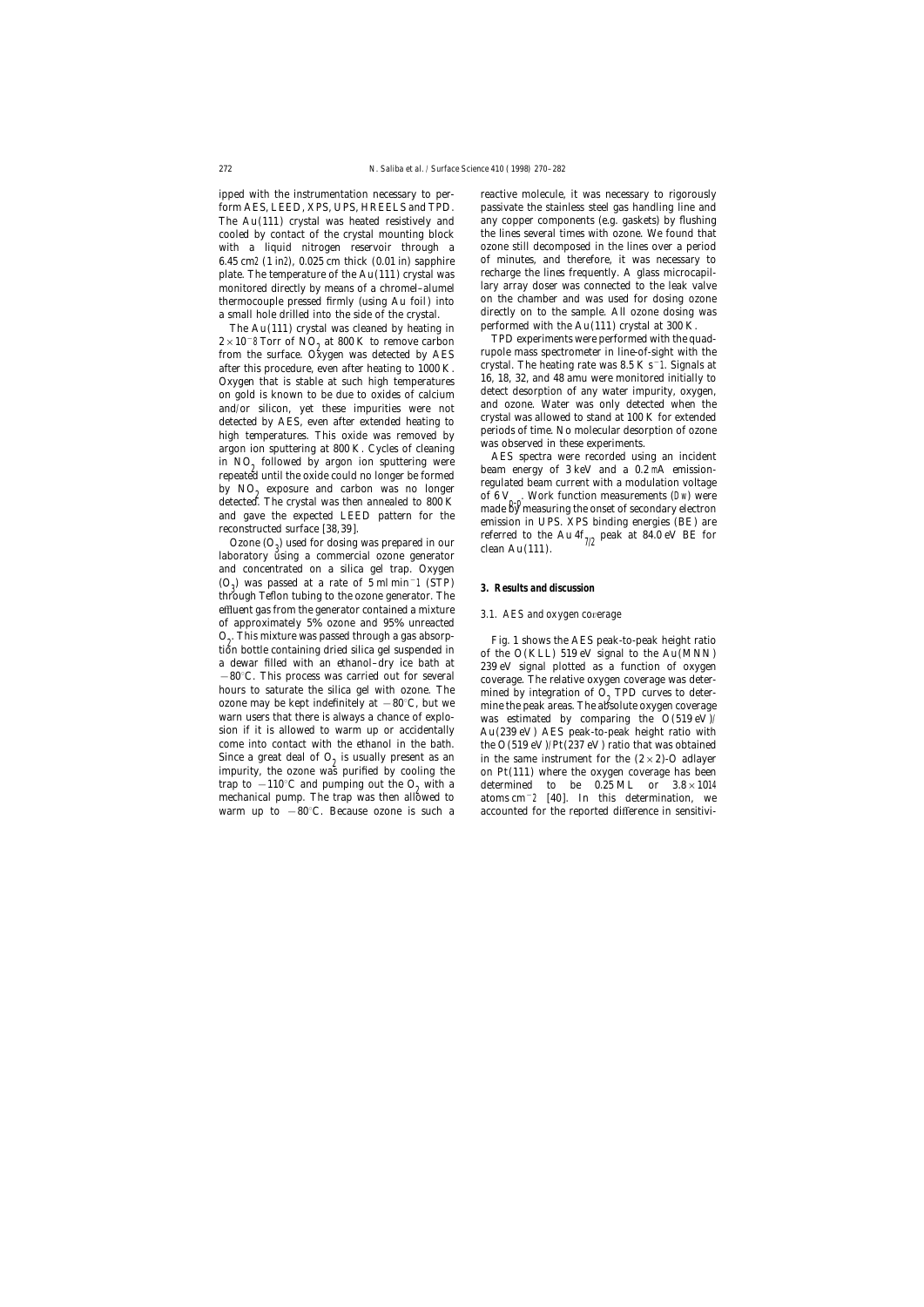ipped with the instrumentation necessary to per- reactive molecule, it was necessary to rigorously 6.45 cm2 (1 in2), 0.025 cm thick (0.01 in) sapphire of minutes, and therefore, it was necessary to plate. The temperature of the Au(111) crystal was recharge the lines frequently. A glass microcapilthermocouple pressed firmly (using Au foil) into

The Au(111) crystal was cleaned by heating in performed with the Au(111) crystal at 300 K.<br> $\times$ 10<sup>-8</sup> Torr of NO at 800 K to remove carbon TPD experiments were performed with the quad- $2 \times 10^{-8}$  Torr of NO<sub>2</sub> at 800 K to remove carbon<br>
2×10<sup>-8</sup> Torr of NO<sub>2</sub> at 800 K to remove carbon<br>
2×10<sup>-8</sup> Tupole mass spectrometer in line-of-sight with the rupole mass spectrometer in line-of-signals at after the from the surface. Oxygen that is stable at such bigh temperatures. 16, 18, 32, and 48 amu were monitored initially to a ft and to the stable at such bigh temperatur Oxygen that is stable at such high temperatures 16, 18, 32, and 48 amu were monitored initially to<br>on gold is known to be due to oxides of calcium detect desorption of any water impurity, oxygen, on gold is known to be due to oxides of calcium<br>and/or silicon, yet these impurities were not<br>detected by AES, even after extended heating to<br>high temperatures. This oxide was removed by<br>argon ion sputtering at 800 K. Cyc

 $\frac{1}{2}$  used for dosing was prepared in our clean Au(111).<br>laboratory using a commercial ozone generator clean Au(111). and concentrated on a silica gel trap. Oxygen  $(O_0)$  was passed at a rate of 5 ml min<sup>-1</sup> (STP) ) was passed at a rate of 5 ml min−<sup>1</sup> (STP) **3. Results and discussion** through Teflon tubing to the ozone generator. The <sup>e</sup>ffluent gas from the generator contained a mixture *3.1. AES and oxygen co*v*erage* of approximately 5% ozone and 95% unreacted  $O_2$ . This mixture was passed through a gas absorption bottle containing dried silica gel suspended in  $O_2$ . This mixture was passed through a gas absorp-<br>tion bottle containing dried silica gel suspended in<br>a dewar filled with an ethanol-dry ice bath at a gas absorp-<br> $-80^{\circ}$ C. This process was carried out for several<br>h ozone may be kept indefinitely at  $-80^{\circ}$ C, but we mine the peak areas. The absolute oxygen coverage warn users that there is always a chance of explo-<br>sion if it is allowed to warm up or accidentally  $Au(239 \text{ eV})$  AES come into contact with the ethanol in the bath. the  $O(519 \text{ eV})/Pt(237 \text{ eV})$  ratio that was obtained Since a great deal of  $O_2$  is usually present as an in the same instrument for the  $(2 \times 2)$ -O adlayer impurity, the ozone was purified by cooling the on Pt(111) where the oxygen coverage has been impurity, the ozone was purified by cooling the trap to −110°C and pumping out the O<sub>2</sub> with a determined to be 0.25 ML or  $3.8 \times 1014$  mechanical pump. The trap was then allowed to atoms cm<sup>-2</sup> [40]. In this determination, we mechanical pump. The trap was then allowed to warm up to −80°C. Because ozone is such a accounted for the reported difference in sensitivi-

form AES, LEED, XPS, UPS, HREELS and TPD. passivate the stainless steel gas handling line and The Au(111) crystal was heated resistively and any copper components (e.g. gaskets) by flushing cooled by contact of the crystal mounting block the lines several times with ozone. We found that with a liquid nitrogen reservoir through a ozone still decomposed in the lines over a period monitored directly by means of a chromel–alumel lary array doser was connected to the leak valve<br>thermocouple pressed firmly (using Au foil) into on the chamber and was used for dosing ozone a small hole drilled into the side of the crystal. directly on to the sample. All ozone dosing was<br>The Au(111) crystal was cleaned by heating in performed with the Au(111) crystal at 300 K.

detected. The crystal was then annealed to 800 K<br>and gave the expected LEED pattern for the<br>reconstructed surface [38,39].<br>Ozone (O<sub>3</sub>) used for dosing was prepared in our<br>labbardom: sting a communical game gammarial game

 $Au(239 \text{ eV})$  AES peak-to-peak height ratio with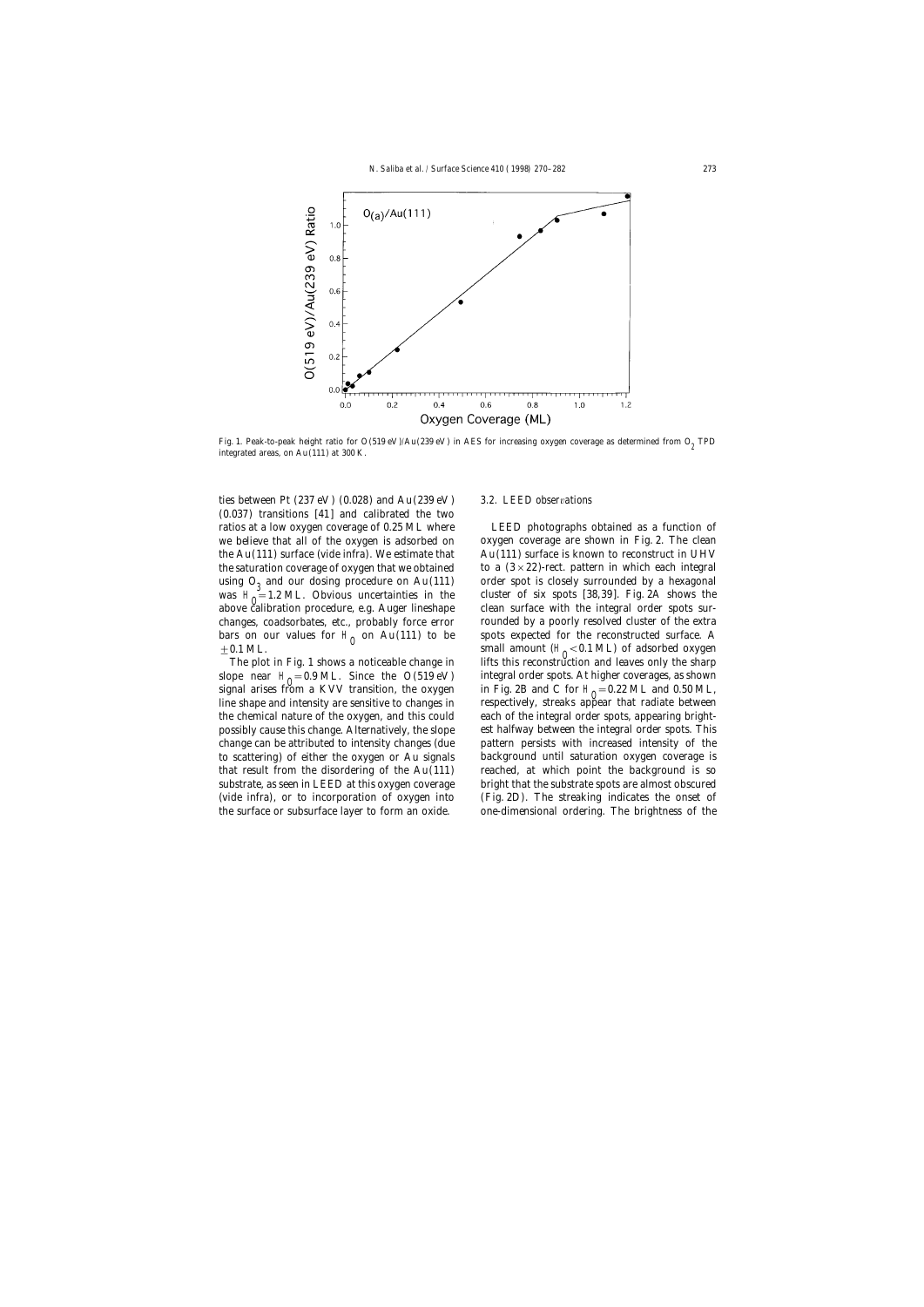

Fig. 1. Peak-to-peak height ratio for  $O(519 \text{ eV})/Au(239 \text{ eV})$  in AES for increasing oxygen coverage as determined from  $O<sub>2</sub>$  TPD integrated areas, on Au(111) at 300 K.

ties between Pt (237 eV ) (0.028) and Au(239 eV ) *3.2. LEED obser*v*ations* (0.037) transitions [41] and calibrated the two ratios at a low oxygen coverage of 0.25 ML where LEED photographs obtained as a function of we believe that all of the oxygen is adsorbed on oxygen coverage are shown in Fig. 2. The clean the  $Au(111)$  surface (vide infra). We estimate that  $Au(111)$  surface is known to reconstruct in UHV the saturation coverage of oxygen that we obtained to a  $(3 \times 22)$ -rect. pattern in which each integral using  $O_3$  and our dosing procedure on Au(111) order spot is closely surrounded by a hexagonal was  $H_0 = 1.2$  ML. Obvious uncertainties in the cluster of six spots [38,39]. Fig. 2A shows the was  $H_0 = 1.2$  ML. Obvious uncertainties in the cluster of six spots [38,39]. Fig. 2A shows the observed in the observed in the observed in the observed in the observed in the observed in the observed in the integral orde above calibration procedure, e.g. Auger lineshape clean surface with the integral order spots surchanges, coadsorbates, etc., probably force error rounded by a poorly resolved cluster of the extra bars on our values for H<sub>0</sub> on Au(111) to be spots expected for the reconstructed surface. A small amount  $(H_0 < 0.1$  ML) of adsorbed oxygen

The plot in Fig. 1 shows a noticeable change in slope near  $H_0 = 0.9$  ML. Since the O(519 eV) the surface or subsurface layer to form an oxide. one-dimensional ordering. The brightness of the

small amount ( $H_0 < 0.1$  ML) of adsorbed oxygen lifts this reconstruction and leaves only the sharp slope near  $H_0 = 0.9$  ML. Since the O(519 eV) integral order spots. At higher coverages, as shown signal arises from a KVV transition, the oxygen in Fig. 2B and C for  $H_0 = 0.22$  ML and 0.50 ML, signal arises from a KVV transition, the oxygen in Fig. 2B and C for H<sub>0</sub>=0.22 ML and 0.50 ML,<br>line shape and intensity are sensitive to changes in respectively, streaks appear that radiate between the chemical nature of the oxygen, and this could each of the integral order spots, appearing brightpossibly cause this change. Alternatively, the slope est halfway between the integral order spots. This change can be attributed to intensity changes (due pattern persists with increased intensity of the to scattering) of either the oxygen or Au signals background until saturation oxygen coverage is that result from the disordering of the Au(111) reached, at which point the background is so substrate, as seen in LEED at this oxygen coverage bright that the substrate spots are almost obscured (vide infra), or to incorporation of oxygen into (Fig. 2D). The streaking indicates the onset of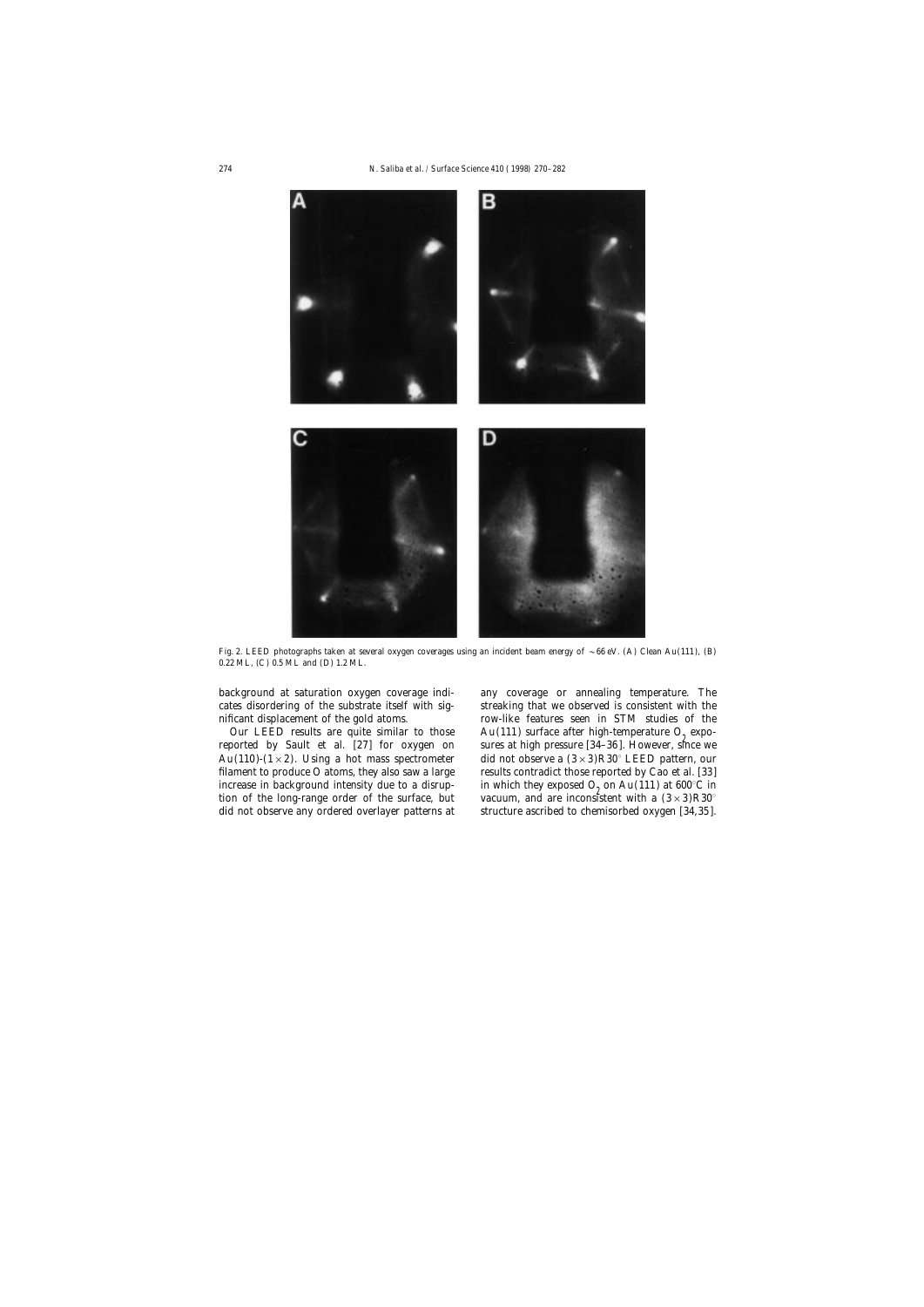

Fig. 2. LEED photographs taken at several oxygen coverages using an incident beam energy of  $\sim 66$  eV. (A) Clean Au(111), (B) 0.22 ML, (C) 0.5 ML and (D) 1.2 ML.

Au(110)-(1 × 2). Using a hot mass spectrometer did not observe a  $(3 \times 3)R30^\circ$  LEED pattern, our filament to produce O atoms, they also saw a large results contradict those reported by Cao et al. [33] increase in background intensity due to a disrup-<br>tion of the long-range order of the surface, but vacuum, and are inconsistent with a  $(3 \times 3)R30^\circ$ 

background at saturation oxygen coverage indi- any coverage or annealing temperature. The cates disordering of the substrate itself with sig- streaking that we observed is consistent with the nificant displacement of the gold atoms. row-like features seen in STM studies of the Our LEED results are quite similar to those  $Au(111)$  surface after high-temperature  $O_2$  expores reported by Sault et al. [27] for oxygen on sures at high pressure [34–36]. However, since we sures at high pressure [34–36]. However, since we vacuum, and are inconsistent with a  $(3\times3)R30^\circ$ did not observe any ordered overlayer patterns at structure ascribed to chemisorbed oxygen [34,35].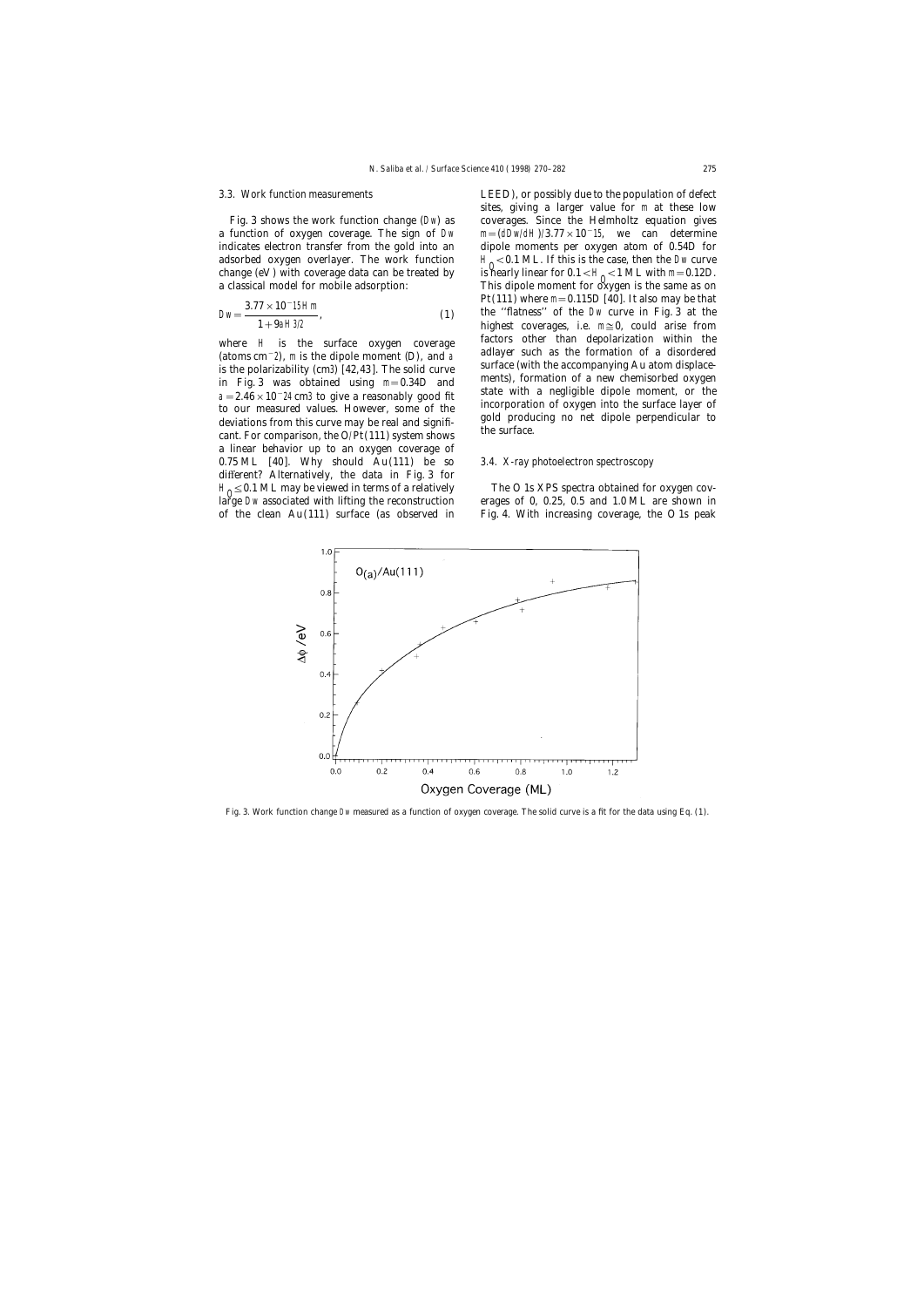a function of oxygen coverage. The sign of Dw m= $(dDw/dH)/3.77 \times 10^{-15}$ , we can determine indicates electron transfer from the gold into an dipole moments per oxygen atom of 0.54*D* for adsorbed oxygen overlayer. The work function change  $(eV)$  with coverage data can be treated by change (eV) with coverage data can be treated by is nearly linear for  $0.1 < H_0 < 1$  ML with m=0.12*D*.<br>a classical model for mobile adsorption: This dipole moment for oxygen is the same as on

$$
Dw = \frac{3.77 \times 10^{-15} Hm}{1 + 9aH3/2},
$$
 (1)

a linear behavior up to an oxygen coverage of 0.75 ML [40]. Why should Au(111) be so *3.4. X-ray photoelectron spectroscopy* different? Alternatively, the data in Fig. 3 for  $H_0 \leq 0.1$  ML may be viewed in terms of a relatively  $H_0 \leq 0.1$  S XPS spectra obtained for oxygen covlarge Dw associated with lifting the reconstruction erages of 0, 0.25, 0.5 and 1.0 ML are shown in

*3.3. Work function measurements* LEED), or possibly due to the population of defect sites, giving a larger value for m at these low Fig. 3 shows the work function change (Dw) as coverages. Since the Helmholtz equation gives  $H_0 < 0.1$  ML. If this is the case, then the Dw curve This dipole moment for oxygen is the same as on Pt(111) where  $m=0.115D[40]$ . It also may be that the "flatness" of the Dw curve in Fig. 3 at the highest coverages, i.e.  $m \approx 0$ , could arise from where H is the surface oxygen coverage factors other than depolarization within the (atoms cm<sup>-2</sup>), m is the dipole moment (*D*), and a adlayer such as the formation of a disordered is the polarizability (cm3) [42, 43]. T

of the clean Au(111) surface (as observed in Fig. 4. With increasing coverage, the O 1s peak



Fig. 3. Work function change Dw measured as a function of oxygen coverage. The solid curve is a fit for the data using Eq. (1).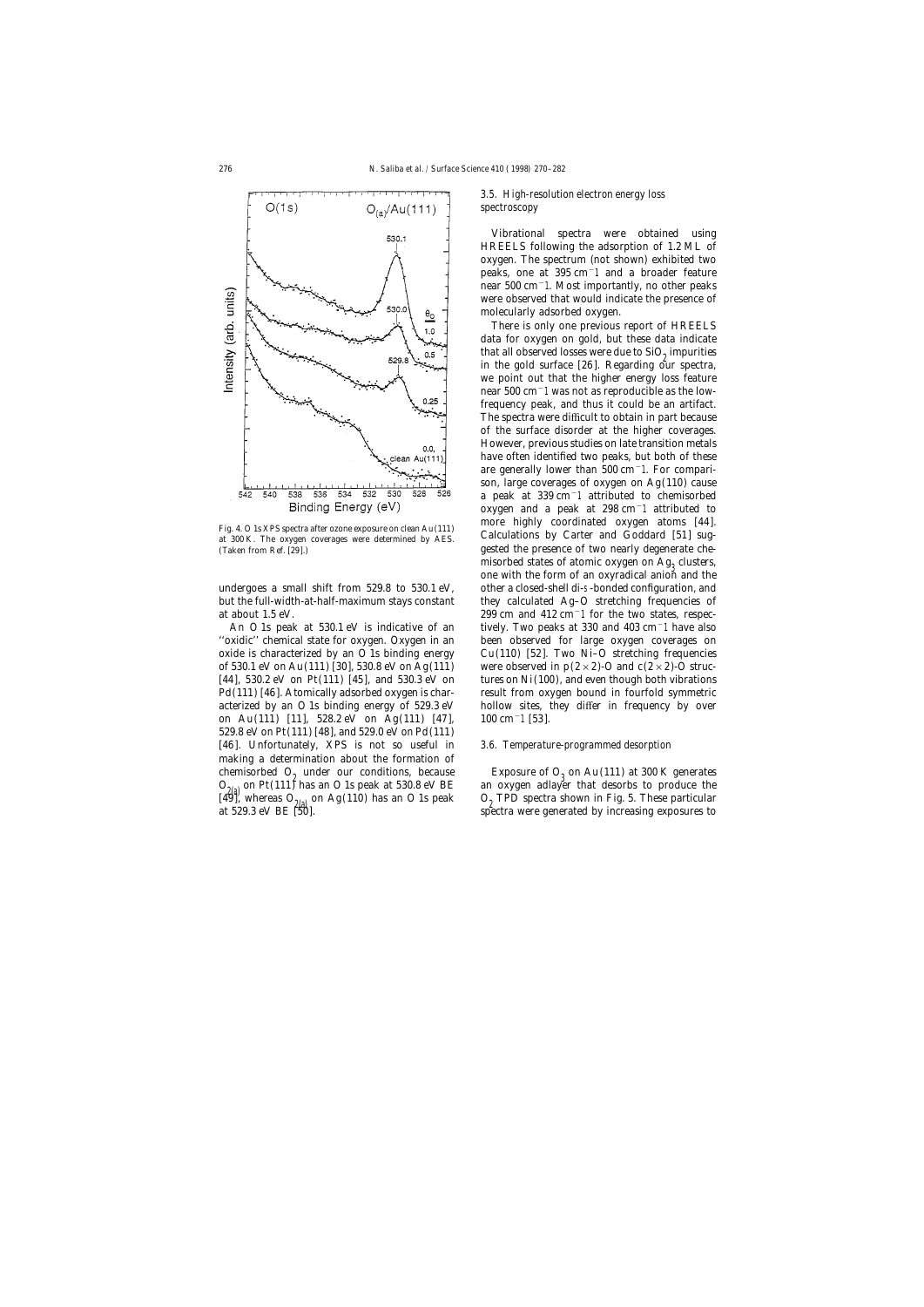

on Au(111) [11], 528.2 eV on Ag(111) [47], 100 cm−1 [53]. 529.8 eV on Pt(111) [48], and 529.0 eV on Pd(111) [46]. Unfortunately, XPS is not so useful in *3.6. Temperature-programmed desorption* making a determination about the formation of chemisorbed O<sub>2</sub> under our conditions, because Exposure of O<sub>3</sub> on Au(111) at 300 K generates  $O_{9(2)}$  on Pt(111) has an O 1s peak at 530.8 eV BE an oxygen adlayer that desorbs to produce the

# *3.5. High-resolution electron energy loss spectroscopy*

Vibrational spectra were obtained using HREELS following the adsorption of 1.2 ML of oxygen. The spectrum (not shown) exhibited two peaks, one at 395 cm−1 and a broader feature near 500 cm−1. Most importantly, no other peaks were observed that would indicate the presence of molecularly adsorbed oxygen.

There is only one previous report of HREELS data for oxygen on gold, but these data indicate that all observed losses were due to  $SiO<sub>0</sub>$  impurities in the gold surface  $[26]$ . Regarding our spectra, we point out that the higher energy loss feature near 500 cm−1 was not as reproducible as the lowfrequency peak, and thus it could be an artifact. The spectra were difficult to obtain in part because of the surface disorder at the higher coverages. However, previous studies on late transition metals have often identified two peaks, but both of these are generally lower than 500 cm−1. For comparison, large coverages of oxygen on Ag(110) cause a peak at 339 cm−1 attributed to chemisorbed oxygen and a peak at 298 cm−1 attributed to Fig. 4. O 1s XPS spectra after ozone exposure on clean Au(111) more highly coordinated oxygen atoms [44].<br>at 300 K. The oxygen coverages were determined by AES. Calculations by Carter and Goddard [51] sug-(Taken from Ref. [29].) gested the presence of two nearly degenerate chemisorbed states of atomic oxygen on  $Ag_2$  clusters, one with the form of an oxyradical anion and the undergoes a small shift from 529.8 to 530.1 eV, other a closed-shell di-s-bonded configuration, and but the full-width-at-half-maximum stays constant they calculated Ag–O stretching frequencies of at about 1.5 eV. 299 cm and 412 cm−1 for the two states, respec-An O 1s peak at 530.1 eV is indicative of an tively. Two peaks at 330 and 403 cm−1 have also ''oxidic'' chemical state for oxygen. Oxygen in an been observed for large oxygen coverages on oxide is characterized by an O 1s binding energy  $Cu(110)$  [52]. Two Ni–O stretching frequencies of 530.1 eV on Au(111) [30], 530.8 eV on Ag(111) were observed in  $p(2\times2)$ -O and  $c(2\times2)$ -O struc-[44], 530.2 eV on Pt(111) [45], and 530.3 eV on tures on Ni(100), and even though both vibrations Pd(111) [46]. Atomically adsorbed oxygen is char-<br>result from oxygen bound in fourfold symmetric acterized by an O 1s binding energy of 529.3 eV hollow sites, they differ in frequency by over

 $O_{2(4)}$  on Pt(111) has an O 1s peak at 530.8 eV BE an oxygen adlayer that desorbs to produce the 2(a) on Pt(111) has an O 1s peak at 530.8 eV BE [49], whereas  $O_{2(2)}$  on Ag(110) has an O 1s peak  $O_2$  TPD spectra shown in Fig. 5. These particular at 529.3 eV BE [50]. spectra were generated by increasing exposures to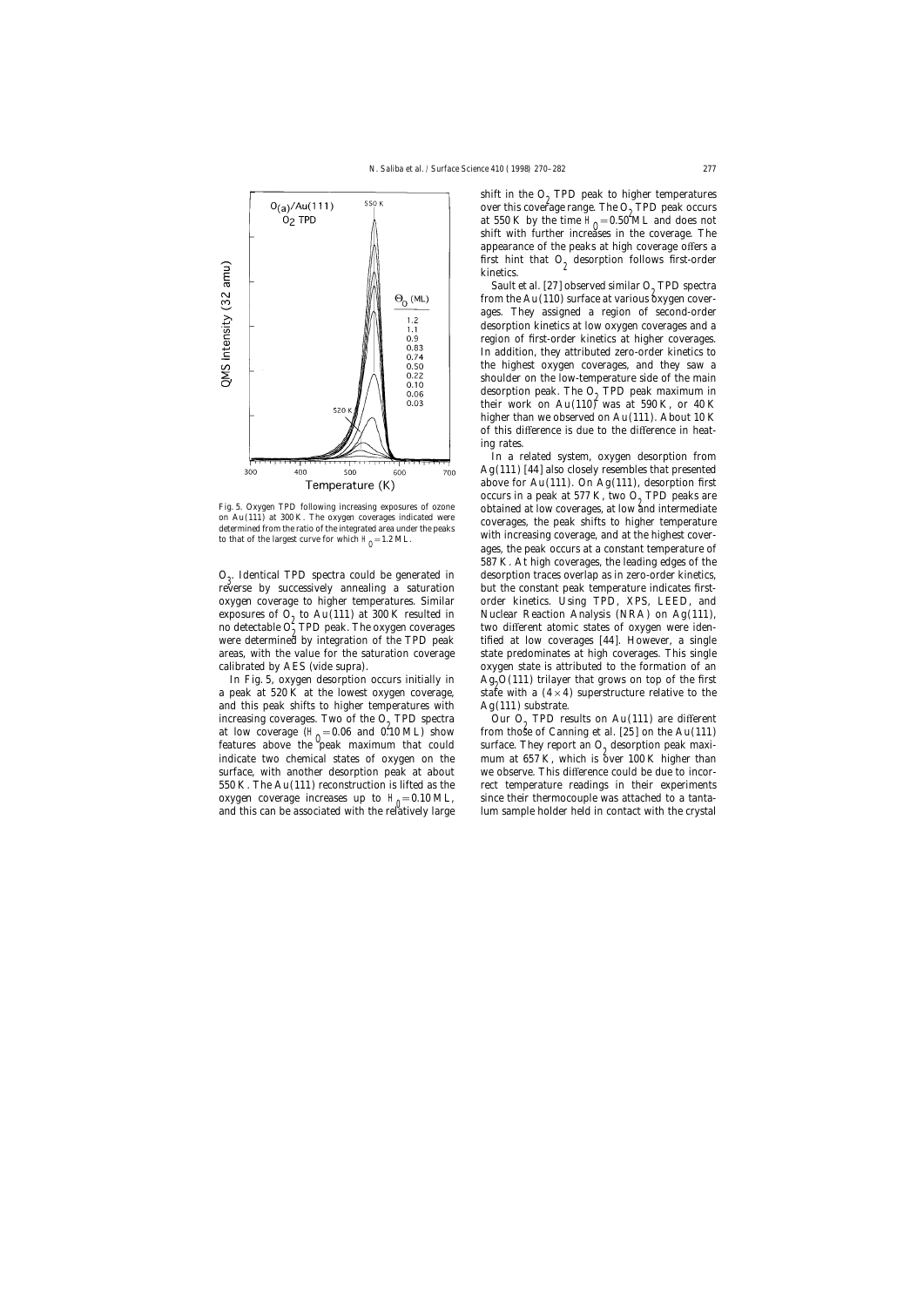

to that of the largest curve for which  $H_0 = 1.2$  ML.

reverse by successively annealing a saturation but the constant peak temperature indicates first-

and this peak shifts to higher temperatures with Ag(111) substrate. increasing coverages. Two of the  $O_2$  TPD spectra  $O_2$  TPD results on Au(111) are different at low coverage ( $H_0$  = 0.06 and 0.10 ML) show from those of Canning et al. [25] on the Au(111) oxygen coverage increases up to  $H_0 = 0.10$  ML, and this can be associated with the relatively large lum sample holder held in contact with the crystal

shift in the  $O<sub>9</sub>$  TPD peak to higher temperatures over this coverage range. The  $O_2$  TPD peak occurs<br>at 550 K by the time  $H = 0.502 M$  and dass not at 550 K by the time  $H_0 = 0.50^{\circ}ML$  and does not shift with further increases in the coverage. The appearance of the peaks at high coverage offers a first hint that  $O<sub>9</sub>$  desorption follows first-order kinetics.

Sault et al. [27] observed similar  $O<sub>9</sub>$  TPD spectra from the Au(110) surface at various  $\overleftarrow{\text{o}}$ xygen coverages. They assigned a region of second-order desorption kinetics at low oxygen coverages and a region of first-order kinetics at higher coverages. In addition, they attributed zero-order kinetics to the highest oxygen coverages, and they saw a shoulder on the low-temperature side of the main desorption peak. The  $O<sub>2</sub>$  TPD peak maximum in their work on  $Au(110)^2$  was at 590 K, or 40 K higher than we observed on Au(111). About 10 K of this difference is due to the difference in heating rates.

In a related system, oxygen desorption from Ag(111) [44] also closely resembles that presented above for  $Au(111)$ . On  $Ag(111)$ , desorption first occurs in a peak at 577 K, two  $O<sub>9</sub>$  TPD peaks are Fig. 5. Oxygen TPD following increasing exposures of ozone<br>on Au(111) at 300 K. The oxygen coverages indicated were<br>determined from the ratio of the integrated area under the peaks<br>to that of the largest curve for which ages, the peak occurs at a constant temperature of 587 K. At high coverages, the leading edges of the  $O_3$ . Identical TPD spectra could be generated in desorption traces overlap as in zero-order kinetics,  $O_3$ . Identical TPD spectra could be generated in displaced by a setting and heat the constant needs temperature ind oxygen coverage to higher temperatures. Similar order kinetics. Using TPD, XPS, LEED, and exposures of  $O_2$  to Au(111) at 300 K resulted in Fuclear Reaction Analysis (NRA) on Ag(111), no detectable  $O_{\rho}^{\circ}$  TPD peak. The oxygen coverages two different atomic states of oxygen were iden-<br>were determined by integration of the TPD peak. third at low coverages [44]. However, a single were determined by integration of the TPD peak tified at low coverages [44]. However, a single areas, with the value for the saturation coverage state predominates at high coverages. This single calibrated by AES (vide supra). oxygen state is attributed to the formation of an In Fig. 5, oxygen desorption occurs initially in  $Ag<sub>2</sub>O(111)$  trilayer that grows on top of the first a peak at 520 K at the lowest oxygen coverage, state with a  $(4 \times 4)$  superstructure relative to the state with a  $(4\times4)$  superstructure relative to the

at low coverage  $(H_0 = 0.06$  and  $0.10$  ML) show from those of Canning et al. [25] on the Au(111) or the August  $\frac{1}{2}$ features above the peak maximum that could surface. They report an  $O_2$  desorption peak maxi-<br>indicate two chemical states of oxygen on the mum at 657 K, which is over 100 K higher than mum at  $657$  K, which is over 100 K higher than surface, with another desorption peak at about we observe. This difference could be due to incor-550 K. The Au(111) reconstruction is lifted as the rect temperature readings in their experiments since their thermocouple was attached to a tanta-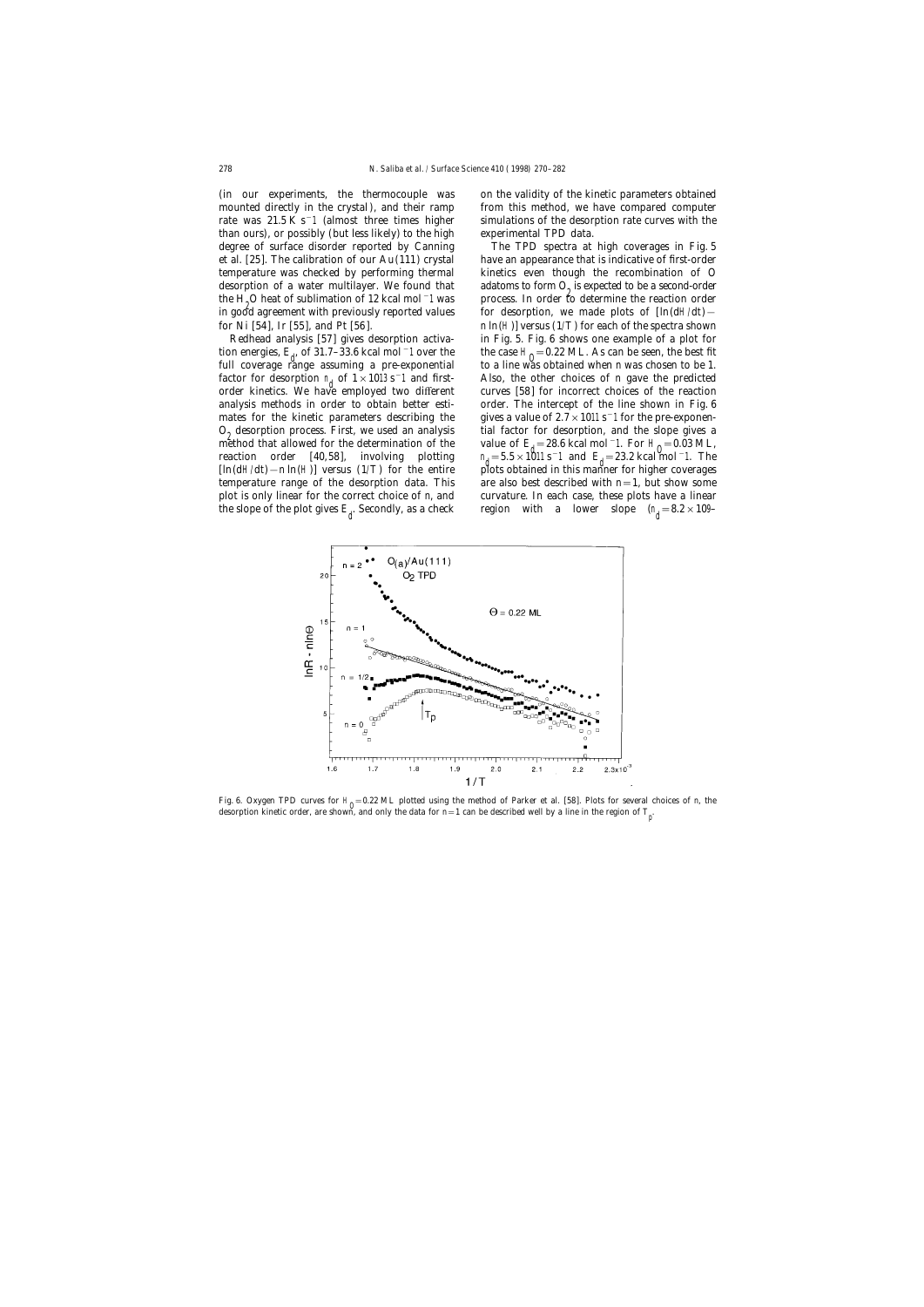(in our experiments, the thermocouple was on the validity of the kinetic parameters obtained mounted directly in the crystal), and their ramp from this method, we have compared computer rate was 21.5 K s−1 (almost three times higher simulations of the desorption rate curves with the than ours), or possibly (but less likely) to the high experimental TPD data. the H<sub>0</sub>O heat of sublimation of 12 kcal mol<sup> $-1$ </sup> was in good agreement with previously reported values for desorption, we made plots of [ln(dH/d*t*)−

tion energies,  $E_d$ , of 31.7–33.6 kcal mol<sup>−1</sup> over the the case H<sub>0</sub><br>full equator white essuming a nucleus proposation to a line up factor for desorption  $n_d$  of  $1 \times 1013 s^{-1}$  and firstorder kinetics. We have employed two different reaction order  $[40,58]$ , involving plotting the slope of the plot gives  $E<sub>d</sub>$ . Secondly, as a check

degree of surface disorder reported by Canning The TPD spectra at high coverages in Fig. 5 et al. [25]. The calibration of our Au(111) crystal have an appearance that is indicative of first-order temperature was checked by performing thermal kinetics even though the recombination of O desorption of a water multilayer. We found that adatoms to form  $O<sub>o</sub>$  is expected to be a second-order process. In order to determine the reaction order for Ni [54], Ir [55], and Pt [56]. *n* ln(H)] versus (1/*T*) for each of the spectra shown Redhead analysis [57] gives desorption activa- in Fig. 5. Fig. 6 shows one example of a plot for the case  $H_0 = 0.22$  ML. As can be seen, the best fit full coverage range assuming a pre-exponential to a line was obtained when *n* was chosen to be 1. Also, the other choices of *n* gave the predicted curves [58] for incorrect choices of the reaction analysis methods in order to obtain better esti- order. The intercept of the line shown in Fig. 6 mates for the kinetic parameters describing the gives a value of  $2.7 \times 1011$  s<sup>−1</sup> for the pre-exponen- $O_2$  desorption process. First, we used an analysis tial factor for desorption, and the slope gives a method that allowed for the determination of the value of  $E_1 = 28.6$  kcal mol<sup>-</sup>1. For H<sub>0</sub> = 0.03 ML, method that allowed for the determination of the value of  $E_1 = 28.6$  kcal mol<sup>−1</sup>. For H<sub>0</sub> = 0.03 ML,  $d=5.5\times1011 \text{ s}^{-1}$  and  $E<sub>d</sub>=23.2$  kcal mol<sup>-1</sup>. The [ln(dH/d*t*)−*n* ln(H)] versus (1/*T*) for the entire plots obtained in this manner for higher coverages temperature range of the desorption data. This are also best described with  $n=1$ , but show some plot is only linear for the correct choice of *n*, and curvature. In each case, these plots have a linear . Secondly, as a check region with a lower slope  $(n_d = 8.2 \times 109 - 1)$ 



Fig. 6. Oxygen TPD curves for  $H_0 = 0.22$  ML plotted using the method of Parker et al. [58]. Plots for several choices of *n*, the desorption kinetic order, are shown, and only the data for *n*=1 can be described well by a line in the region of *T* p .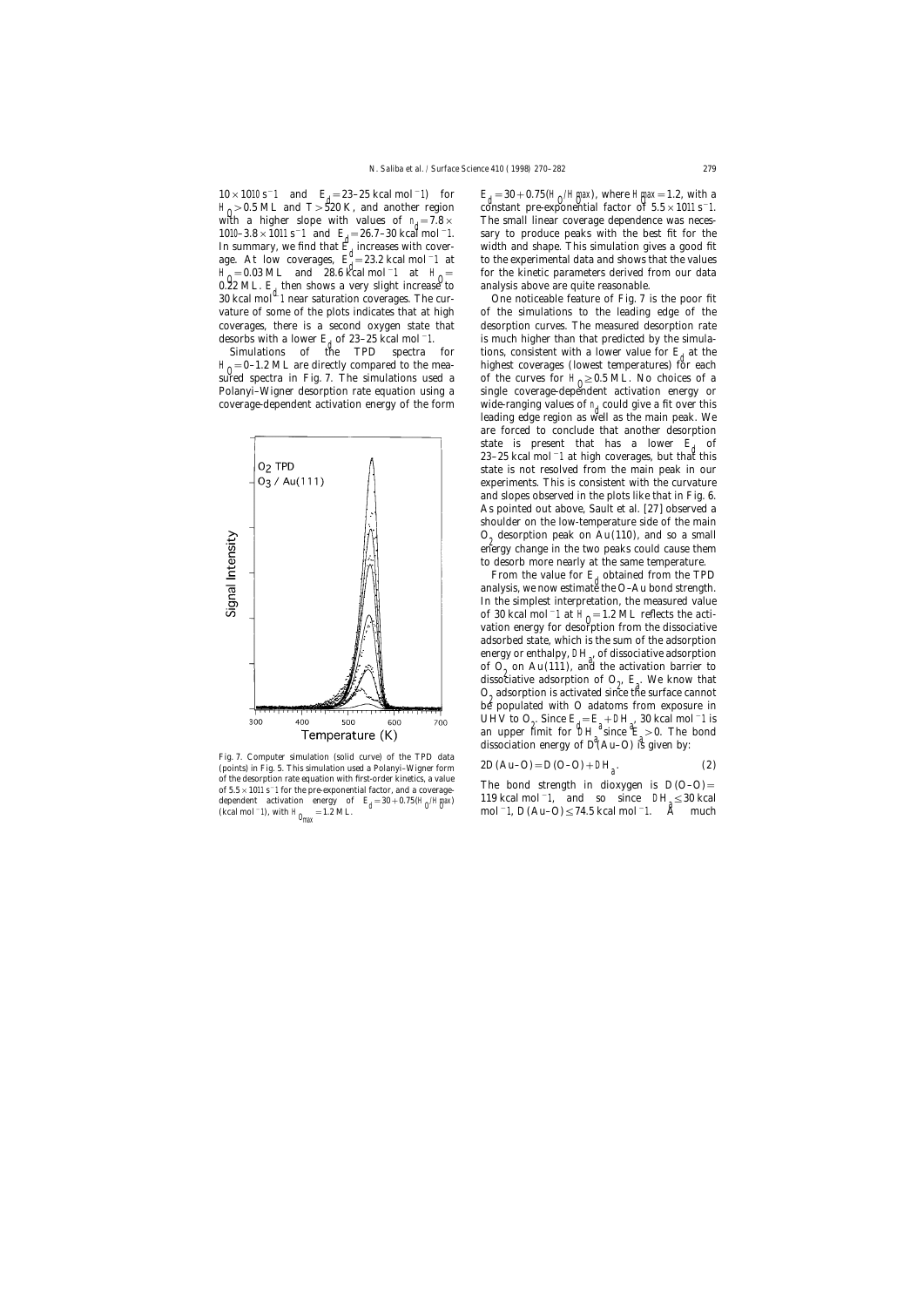$10 \times 1010 \text{ s}^{-1}$  and  $E_1 = 23-25 \text{ kcal mol}^{-1}$  for  $E_1$ <br> $E_2 = 23-25 \text{ kcal mol}^{-1}$ with a higher slope with values of  $n_a = 7.8 \times$  $H_0 = 0.03 \text{ ML}$  and 28.6 kcal mol−1 at  $H_0$ <br>0.92 ML E than shows a year slight increase 0.22 ML. *E*<sub>d</sub> then shows a very slight increase to analysis above are quite reasonable.<br>30 kcal mol<sup>d\_</sup>1 near saturation coverages. The cur- One noticeable feature of Fig. 7 is the poor fit

sured spectra in Fig. 7. The simulations used a Polanyi-Wigner desorption rate equation using a coverage-dependent activation energy of the form



Fig. 7. Computer simulation (solid curve) of the TPD data <br>(points) in Fig. 5. This simulation used a Polanyi–Wigner form  $2D(Au-O) = D(O-O) + D H<sub>2</sub>$ . (2) of the desorption rate equation with first-order kinetics, a value of 5.5 × 1011 s<sup>-1</sup> for the pre-exponential factor, and a coverage-<br>  $\frac{1}{2}$  The bond strength in dioxygen is  $D(O-O)$  = (kcal mol<sup>-1</sup>), with H<sub>Omax</sub>=1.2 ML. d mol−1, *D*(Au–O)≤74.5 kcal mol<sup>-1</sup>. A much

 $E_{\rm d}$  = 30 + 0.75(H<sub>O</sub>/H<sub>m</sub>ax), where Hmax = 1.2, with a constant pre-exponential factor of 5.5 × 1011 s<sup>-</sup>1. H<sub>0</sub> > 0.5 ML and *T* > 520 K, and another region constant pre-exponential factor of 5.5 × 1011 s<sup>−1</sup>.<br>Untuke a higher clane with values of n 7.8 v and The small linear exuments dependence was neces  $1010-3.8 \times 1011 \text{ s}^{-1}$  and  $E_1 = 26.7-30 \text{ kcal mol}^{-1}$ . Sary to produce peaks with the best fit for the distribution since a special momentum of the distribution of the distribution of the distribution of the distribution The small linear coverage dependence was neces-In summary, we find that  $E_d$  increases with cover-<br> $E_d^d = 22.2$  keel mel <sup>-1</sup> at the superimental data and shaws that the values age. At low coverages,  $E_1^* = 23.2$  kcal mol<sup>-</sup>1 at to the experimental data and shows that the values derived from our data for the kinetic parameters derived from our data

vature of some of the plots indicates that at high of the simulations to the leading edge of the coverages, there is a second oxygen state that desorption curves. The measured desorption rate desorbs with a lower  $E$ <sub>i</sub> of 23–25 kcal mol<sup>-1</sup>. is much higher than that predicted by the simula-<br>Simulations of the TPD spectra for tions, consistent with a lower value for  $E$ <sub>1</sub> at the tions, consistent with a lower value for  $E_d$  at the highest coverages (lowest temperatures) for each  $H_0 = 0-1.2$  ML are directly compared to the mea-<br>and apactra in Fig. 7. The simulations used a set the summa for U.S.O.E.ML. No shairse of a of the curves for  $H_0 \geq 0.5$  ML. No choices of a single coverage-dependent activation energy or wide-ranging values of  $n<sub>d</sub>$  could give a fit over this leading edge region as well as the main peak. We are forced to conclude that another desorption state is present that has a lower  $E_i$  of 23–25 kcal mol−1 at high coverages, but that this state is not resolved from the main peak in our experiments. This is consistent with the curvature and slopes observed in the plots like that in Fig. 6. As pointed out above, Sault et al. [27] observed a shoulder on the low-temperature side of the main  $O<sub>0</sub>$  desorption peak on Au(110), and so a small energy change in the two peaks could cause them to desorb more nearly at the same temperature.

> From the value for  $E_d$  obtained from the TPD analysis, we now estimate the O–Au bond strength. In the simplest interpretation, the measured value of 30 kcal mol<sup>−1</sup> at  $H_0$ =1.2 ML reflects the acti-<br>vation aperay for desegntion from the dissociative vation energy for desorption from the dissociative adsorbed state, which is the sum of the adsorption energy or enthalpy, D*H* , of dissociative adsorption of  $O_2$  on Au(111), and the activation barrier to<br>discoviring adoption of  $O_1$  F. We know that dissociative adsorption of  $O_2$ ,  $E_a$ . We know that  $O<sub>9</sub>$  adsorption is activated since the surface cannot be populated with O adatoms from exposure in UHV to O<sub>2</sub>. Since  $E_1 = E_1 + D_2$ , 30 kcal mol<sup>-1</sup> is an upper limit for  $\mathcal{D}H^{\alpha}$  since  $E > 0$ . The bond dissociation energy of  $D^{\dagger}$ (Au–O) is given by:

$$
2D(Au-O) = D(O-O) + DHa.
$$
 (2)

119 kcal mol−1, and so since D*H* dependent activation energy of  $E_d = 30 + 0.75 \times (H_0/H_{\text{max}})$  119 kcal mol<sup>-1</sup>, and so since  $DH \leq 30$  kcal<br>(below) =1,  $D(A)$  on  $C \leq 74.5$  keal mol<sup>-1</sup>,  $\frac{3}{4}$  much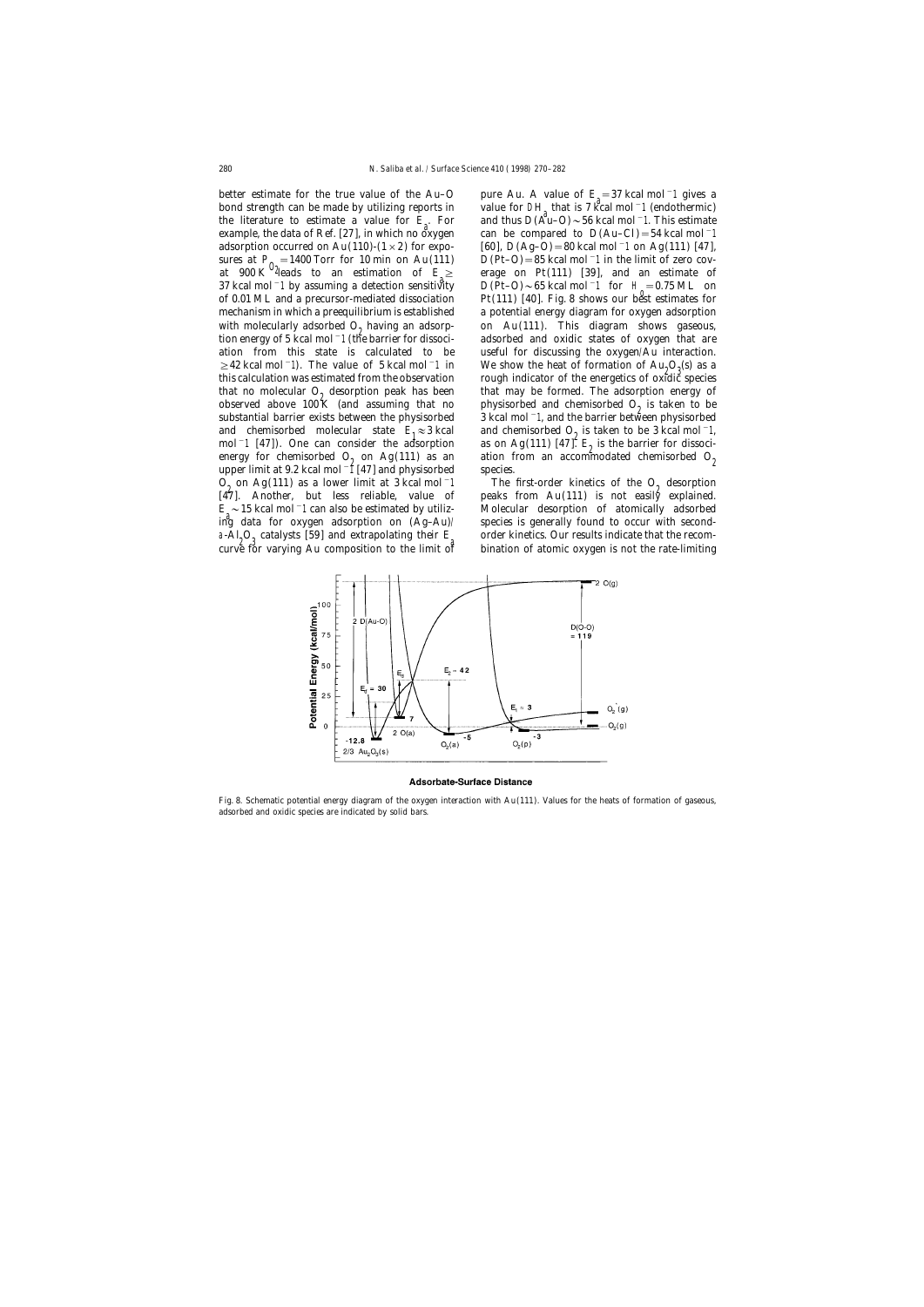better estimate for the true value of the Au-O bond strength can be made by utilizing reports in value for DH that is 7 kcal mol<sup>-1</sup> (endothermic) the literature to estimate a value for  $F$ . For and thus  $D(A_0^d, D)$ ,  $56 \text{ kcal mol}^{-1}$ . This estimate the literature to estimate a value for  $E<sub>c</sub>$ . For example, the data of Ref. [27], in which no oxygen can be compared to  $D(Au-Cl) = 54$  kcal mol<sup>-1</sup> adsorption occurred on Au(110)-(1 × 2) for expo- [60],  $D(Ag-O)=80$  kcal mol<sup>−1</sup> on Ag(111) [47], sures at  $P_0 = 1400$  Torr for 10 min on Au(111)  $D(Pt-O) = 85$  kcal mol<sup>-</sup>1 in the limit of zero cov-<br>at 900 K  $^0$  <sup>2</sup> eads to an estimation of  $E \ge$  erage on Pt(111) [39], and an estimate of at 900 K <sup>2</sup> deads to an estimation of *E*<sub>2</sub><br>az keel mel 1 by essuming a detection sensitive 37 kcal mol<sup>−1</sup> by assuming a detection sensitivity  $D(Pt-O) \sim 65$  kcal mol<sup>−1</sup> for H<sub>a</sub>=0.75 ML on of 0.01 ML and a precursor-mediated dissociation  $Pf(111)$  [40]. Fig. 8 shows our best estimates for mechanism in which a preequilibrium is established a potential energy diagram for oxygen adsorption with molecularly adsorbed  $O_2$  having an adsorp- on Au(111). This diagram shows gaseous,<br>tion energy of 5 kcal mol<sup>-1</sup> (the barrier for dissoci- adsorbed and oxidic states of oxygen that are ation from this state is calculated to be useful for discussing the oxygen/Au interaction.  $\geq$ 42 kcal mol−1). The value of 5 kcal mol−1 in We show the heat of formation of Au<sub>2</sub>O<sub>3</sub>(s) as a<br>this selection was estimated from the observation as worsk indicator of the energy is a contribution this calculation was estimated from the observation rough indicator of the energetics of oxidic species that no molecular  $O_2$  desorption peak has been that may be formed. The adsorption energy of observed above 100 K (and assuming that no physisorbed and chemisorbed  $O_2$  is taken to be substantial barrier exists between the physisorbed and chemisorbed molecular state  $E_1 \approx 3$  kcal<br>mol<sup>-1</sup> [47]). One can consider the adsorption  $\text{mol}^{-1}$  [47]). One can consider the adsorption is on Ag(111) [47].  $E_2$  is the barrier for dissocienergy for chemisorbed O<sub>2</sub> on Ag(111) as an ation from an accommodated chemisorbed O<sub>2</sub> upper limit at 9.2 kcal mol<sup>−1</sup> [47] and physisorbed species.  $O_2$  on Ag(111) as a lower limit at 3 kcal mol<sup>-1</sup> The first-order kinetics of the  $O_2$  desorption [47]. Another, but less reliable, value of peaks from Au(111) is not easily explained. [47]. Another, but less reliable, value of  $E \sim 15$  kcal mol<sup>-1</sup> can also be estimated by utiliza ing data for oxygen adsorption on (Ag–Au)/ species is generally found to occur with seconda-Al<sub>2</sub>O<sub>3</sub> catalysts [59] and extrapolating their *E*<br>curve for verying Ay composition to the limit of curve for varying Au composition to the limit of

pure Au. A value of  $E_z = 37$  kcal mol<sup>-1</sup> gives a and thus  $D(A<sup>d</sup>u–O) \sim 56$  kcal mol<sup>−1</sup>. This estimate erage on  $Pt(111)$  [39], and an estimate of adsorbed and oxidic states of oxygen that are physisorbed and chemisorbed  $O_2$  is taken to be 3 kcal mol<sup>-1</sup>, and the barrier between physisorbed  $\approx$ 3 kcal and chemisorbed O<sub>2</sub> is taken to be 3 kcal mol<sup>−1</sup>,

> Molecular desorption of atomically adsorbed order kinetics. Our results indicate that the recombination of atomic oxygen is not the rate-limiting



### **Adsorbate-Surface Distance**

Fig. 8. Schematic potential energy diagram of the oxygen interaction with Au(111). Values for the heats of formation of gaseous, adsorbed and oxidic species are indicated by solid bars.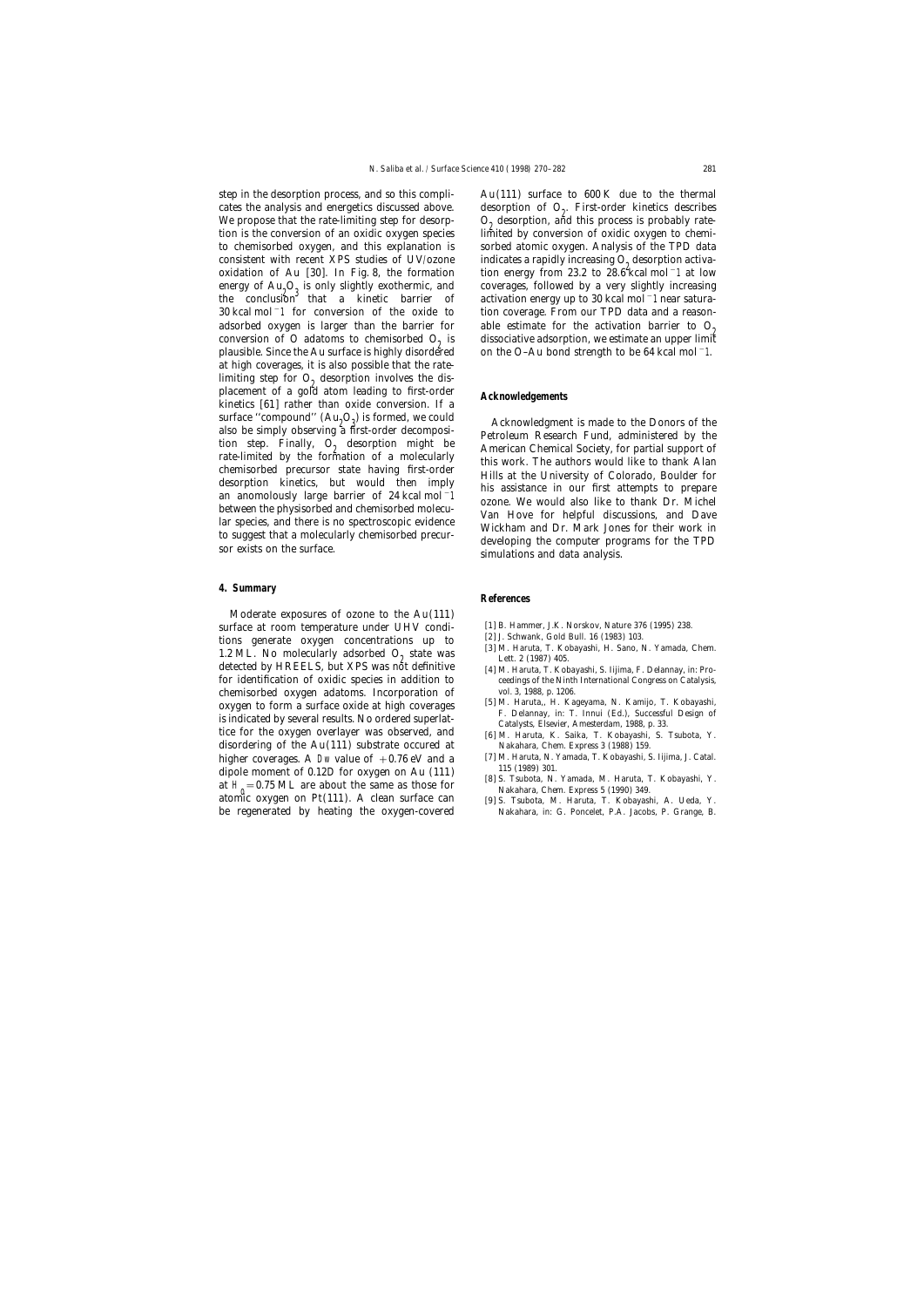step in the desorption process, and so this compli-<br>Au(111) surface to  $600 \text{ K}$  due to the thermal cates the analysis and energetics discussed above. <br>We propose that the rate-limiting step for desorp-<br> $O_0$  desorption, and this process is probably rate-We propose that the rate-limiting step for desorp-<br>tion is the conversion of an oxidic oxygen species limited by conversion of oxidic oxygen to chemito chemisorbed oxygen, and this explanation is sorbed atomic oxygen. Analysis of the TPD data consistent with recent XPS studies of UV/ozone indicates a rapidly increasing  $O_2$  desorption activa-<br>oxidation of Au [30]. In Fig. 8, the formation tion energy from 23.2 to 28.6 kcal mol<sup>-1</sup> at low oxidation of Au [30]. In Fig. 8, the formation energy of Au<sub>2</sub>O<sub>3</sub> is only slightly exothermic, and coverages, followed by a very slightly increasing<br>the conclusion that a kinetic barrier of activation energy up to 30 kcal mol−1 near satura-30 kcal mol−1 for conversion of the oxide to tion coverage. From our TPD data and a reasonadsorbed oxygen is larger than the barrier for able estimate for the activation barrier to  $O_2$  conversion of O adatoms to chemisorbed  $O_2$  is dissociative adsorption, we estimate an upper limit plausible. Since the Au plausible. Since the Au surface is highly disordertied at high coverages, it is also possible that the ratelimiting step for  $O_2$  desorption involves the displacement of a gold atom leading to first-order **Acknowledgements** kinetics [61] rather than oxide conversion. If a surface "compound" (Au<sub>2</sub>O<sub>3</sub>

# **4. Summary**

Moderate exposures of ozone to the Au(111) % surface at room temperature under UHV condi-  $\begin{array}{l} \text{[1] B. Hammer, J.K. Norskov, Nature 376 (1995) 238.} \\ \text{tions} \text{ generate } \text{oxygen} \text{ concentrations up to} \\ \text{1.2 ML. No molecularly adsorbed O} \text{g state was} \\ \text{detected by HREELS, but XPS was not definitive} \\ \text{[3] M. Haruta, T. Kobayashi, H. Sano, N. Yamada, Chem.} \\ \text{[4] M. Haruta, T. Kobayashi, S. Iijima, F. Delannay, in: Pro$ for identification of oxidic species in addition to ceedings of the Ninth International Congress on Catalysis, chemisorbed oxygen adatoms. Incorporation of vol. 3, 1988, p. 1206. chemisorbed oxygen adatoms. Incorporation of vol. 3, 1988, p. 1206.<br>
oxygen to form a surface oxide at high coverages [5] M. Haruta,, H. Kageyama, N. Kamijo, T. Kobayashi, oxygen to form a surface oxide at high coverages<br>is indicated by several results. No ordered superlat-<br>is indicated by several results. No ordered superlat-<br>indicated by several results. No ordered superlat-<br>indicated by s disordering of the Au(111) substrate occured at Nakahara, Chem. Express 3 (1988) 159. higher coverages. A Dw value of  $+0.76$  eV and a [7] M. Haruta, N. Yamada, T. Kobayashi, S. Iijima, J. Catal.<br>dinals moment of 0.12 D for express an Ay (111) [1989] 301. dipole moment of 0.12*D* for oxygen on Au (111)  $[8]$  S. Tsubota, N. Yamada, M. Haruta, T. Kobayashi, Y. at H<sub>0</sub> = 0.75 ML are about the same as those for Nakahara, Chem. Express 5 (1990) 349. atomic oxygen on  $Pt(111)$ . A clean surface can at  $H_0 = 0.75$  ML are about the same as those for<br>atomic oxygen on Pt(111). A clean surface can [9] S. Tsubota, M. Haruta, T. Kobayashi, A. Ueda, Y. be regenerated by heating the oxygen-covered Nakahara, in: G. Poncelet, P.A. Jacobs, P. Grange, B.

limited by conversion of oxidic oxygen to chemi-

surface "compound"  $(Au_2O_4)$  is formed, we could<br>also be simply observing a first-order decomposi-<br>tion step. Finally,  $O_2$  desorption might be<br>the step. Finally,  $O_2$  desorption might be<br>the step. Finally,  $O_2$  desor

## **References**

- 
- 
- 
- 
- 
- 
- 
- 
-